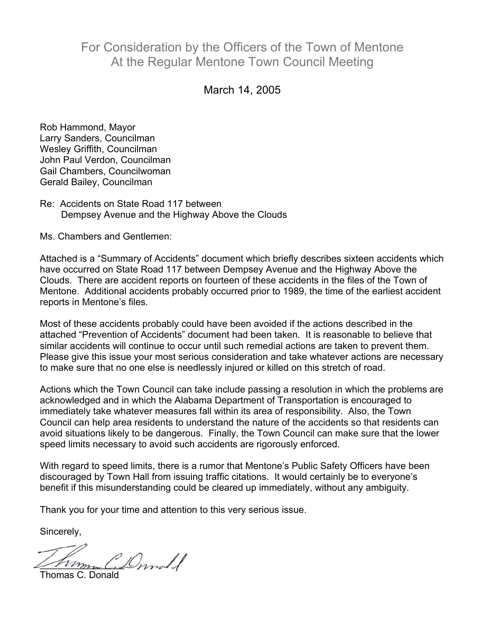## For Consideration by the Officers of the Town of Mentone At the Regular Mentone Town Council Meeting

### March 14, 2005

Rob Hammond, Mayor Larry Sanders, Councilman Wesley Griffith, Councilman John Paul Verdon, Councilman Gail Chambers, Councilwoman Gerald Bailey, Councilman

Re: Accidents on State Road 117 between Dempsey Avenue and the Highway Above the Clouds

Ms. Chambers and Gentlemen:

Attached is a "Summary of Accidents" document which briefly describes sixteen accidents which have occurred on State Road 117 between Dempsey Avenue and the Highway Above the Clouds. There are accident reports on fourteen of these accidents in the files of the Town of Mentone. Additional accidents probably occurred prior to 1989, the time of the earliest accident reports in Mentone's files.

Most of these accidents probably could have been avoided if the actions described in the attached "Prevention of Accidents" document had been taken. It is reasonable to believe that similar accidents will continue to occur until such remedial actions are taken to prevent them. Please give this issue your most serious consideration and take whatever actions are necessary to make sure that no one else is needlessly injured or killed on this stretch of road.

Actions which the Town Council can take include passing a resolution in which the problems are acknowledged and in which the Alabama Department of Transportation is encouraged to immediately take whatever measures fall within its area of responsibility. Also, the Town Council can help area residents to understand the nature of the accidents so that residents can avoid situations likely to be dangerous. Finally, the Town Council can make sure that the lower speed limits necessary to avoid such accidents are rigorously enforced.

With regard to speed limits, there is a rumor that Mentone's Public Safety Officers have been discouraged by Town Hall from issuing traffic citations. It would certainly be to everyone's benefit if this misunderstanding could be cleared up immediately, without any ambiguity.

Thank you for your time and attention to this very serious issue.

Sincerely,

umm C. Domall

Thomas C. Donald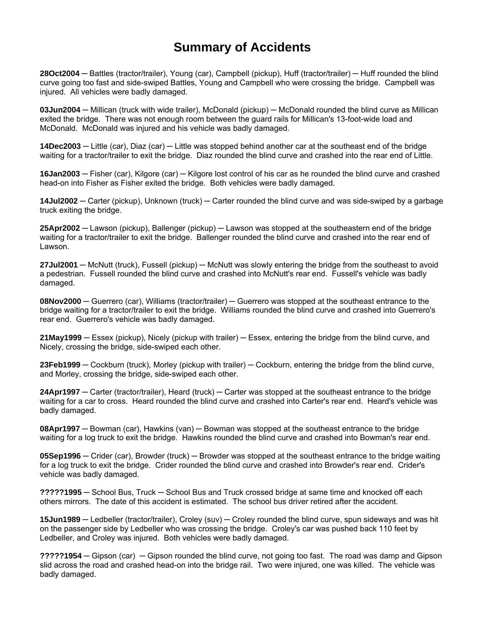# **Summary of Accidents**

**28Oct2004** ─ Battles (tractor/trailer), Young (car), Campbell (pickup), Huff (tractor/trailer) ─ Huff rounded the blind curve going too fast and side-swiped Battles, Young and Campbell who were crossing the bridge. Campbell was injured. All vehicles were badly damaged.

**03Jun2004** ─ Millican (truck with wide trailer), McDonald (pickup) ─ McDonald rounded the blind curve as Millican exited the bridge. There was not enough room between the guard rails for Millican's 13-foot-wide load and McDonald. McDonald was injured and his vehicle was badly damaged.

**14Dec2003** ─ Little (car), Diaz (car) ─ Little was stopped behind another car at the southeast end of the bridge waiting for a tractor/trailer to exit the bridge. Diaz rounded the blind curve and crashed into the rear end of Little.

**16Jan2003** ─ Fisher (car), Kilgore (car) ─ Kilgore lost control of his car as he rounded the blind curve and crashed head-on into Fisher as Fisher exited the bridge. Both vehicles were badly damaged.

**14Jul2002** ─ Carter (pickup), Unknown (truck) ─ Carter rounded the blind curve and was side-swiped by a garbage truck exiting the bridge.

**25Apr2002** ─ Lawson (pickup), Ballenger (pickup) ─ Lawson was stopped at the southeastern end of the bridge waiting for a tractor/trailer to exit the bridge. Ballenger rounded the blind curve and crashed into the rear end of Lawson.

**27Jul2001** ─ McNutt (truck), Fussell (pickup) ─ McNutt was slowly entering the bridge from the southeast to avoid a pedestrian. Fussell rounded the blind curve and crashed into McNutt's rear end. Fussell's vehicle was badly damaged.

**08Nov2000** ─ Guerrero (car), Williams (tractor/trailer) ─ Guerrero was stopped at the southeast entrance to the bridge waiting for a tractor/trailer to exit the bridge. Williams rounded the blind curve and crashed into Guerrero's rear end. Guerrero's vehicle was badly damaged.

**21May1999** ─ Essex (pickup), Nicely (pickup with trailer) ─ Essex, entering the bridge from the blind curve, and Nicely, crossing the bridge, side-swiped each other.

**23Feb1999** ─ Cockburn (truck), Morley (pickup with trailer) ─ Cockburn, entering the bridge from the blind curve, and Morley, crossing the bridge, side-swiped each other.

**24Apr1997** ─ Carter (tractor/trailer), Heard (truck) ─ Carter was stopped at the southeast entrance to the bridge waiting for a car to cross. Heard rounded the blind curve and crashed into Carter's rear end. Heard's vehicle was badly damaged.

**08Apr1997** ─ Bowman (car), Hawkins (van) ─ Bowman was stopped at the southeast entrance to the bridge waiting for a log truck to exit the bridge. Hawkins rounded the blind curve and crashed into Bowman's rear end.

**05Sep1996** ─ Crider (car), Browder (truck) ─ Browder was stopped at the southeast entrance to the bridge waiting for a log truck to exit the bridge. Crider rounded the blind curve and crashed into Browder's rear end. Crider's vehicle was badly damaged.

**?????1995** ─ School Bus, Truck ─ School Bus and Truck crossed bridge at same time and knocked off each others mirrors. The date of this accident is estimated. The school bus driver retired after the accident.

**15Jun1989** ─ Ledbeller (tractor/trailer), Croley (suv) ─ Croley rounded the blind curve, spun sideways and was hit on the passenger side by Ledbeller who was crossing the bridge. Croley's car was pushed back 110 feet by Ledbeller, and Croley was injured. Both vehicles were badly damaged.

**?????1954** ─ Gipson (car) ─ Gipson rounded the blind curve, not going too fast. The road was damp and Gipson slid across the road and crashed head-on into the bridge rail. Two were injured, one was killed. The vehicle was badly damaged.